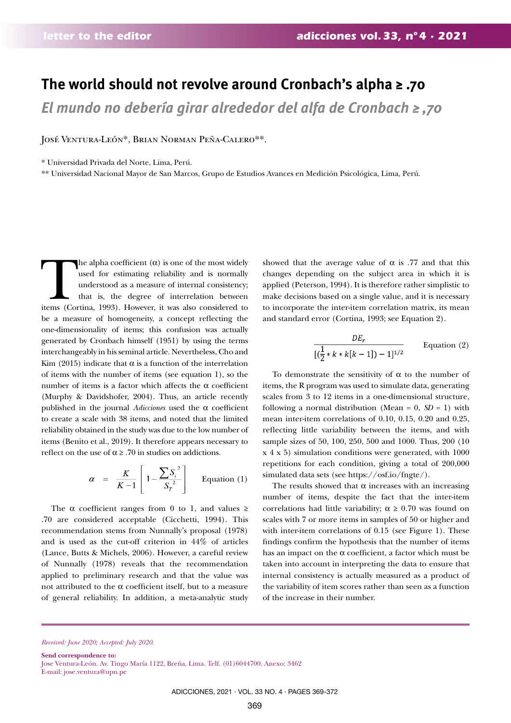## **The world should not revolve around Cronbach's alpha ≥ .70**

*El mundo no debería girar alrededor del alfa de Cronbach ≥ ,70*

José Ventura-León\*, Brian Norman Peña-Calero\*\*.

\* Universidad Privada del Norte, Lima, Perú.

\*\* Universidad Nacional Mayor de San Marcos, Grupo de Estudios Avances en Medición Psicológica, Lima, Perú.

The alpha coefficient (α) is one of the most widely used for estimating reliability and is normally understood as a measure of internal consistency; that is, the degree of interrelation between items (Cortina, 1993). How used for estimating reliability and is normally understood as a measure of internal consistency; that is, the degree of interrelation between items (Cortina, 1993). However, it was also considered to be a measure of homogeneity, a concept reflecting the one-dimensionality of items; this confusion was actually generated by Cronbach himself (1951) by using the terms interchangeably in his seminal article. Nevertheless, Cho and Kim (2015) indicate that  $\alpha$  is a function of the interrelation of items with the number of items (see equation 1), so the number of items is a factor which affects the α coefficient (Murphy & Davidshofer, 2004). Thus, an article recently published in the journal *Adicciones* used the α coefficient to create a scale with 38 items, and noted that the limited reliability obtained in the study was due to the low number of items (Benito et al., 2019). It therefore appears necessary to reflect on the use of  $\alpha \geq .70$  in studies on addictions.

$$
\alpha = \frac{K}{K-1} \left[ 1 - \frac{\sum S_i^2}{S_T^2} \right]
$$
 Equation (1)

The  $\alpha$  coefficient ranges from 0 to 1, and values ≥ .70 are considered acceptable (Cicchetti, 1994). This recommendation stems from Nunnally's proposal (1978) and is used as the cut-off criterion in 44% of articles (Lance, Butts & Michels, 2006). However, a careful review of Nunnally (1978) reveals that the recommendation applied to preliminary research and that the value was not attributed to the  $\alpha$  coefficient itself, but to a measure of general reliability. In addition, a meta-analytic study

showed that the average value of  $\alpha$  is .77 and that this changes depending on the subject area in which it is applied (Peterson, 1994). It is therefore rather simplistic to make decisions based on a single value, and it is necessary to incorporate the inter-item correlation matrix, its mean and standard error (Cortina, 1993; see Equation 2).

$$
\frac{DE_r}{[(\frac{1}{2} * k * k[k-1]) - 1]^{1/2}}
$$
 Equation (2)

To demonstrate the sensitivity of  $\alpha$  to the number of items, the R program was used to simulate data, generating scales from 3 to 12 items in a one-dimensional structure, following a normal distribution (Mean =  $0$ ,  $SD = 1$ ) with mean inter-item correlations of 0.10, 0.15, 0.20 and 0.25, reflecting little variability between the items, and with sample sizes of 50, 100, 250, 500 and 1000. Thus, 200 (10 x 4 x 5) simulation conditions were generated, with 1000 repetitions for each condition, giving a total of 200,000 simulated data sets (see https://osf.io/fngte/).

The results showed that  $\alpha$  increases with an increasing number of items, despite the fact that the inter-item correlations had little variability;  $\alpha \geq 0.70$  was found on scales with 7 or more items in samples of 50 or higher and with inter-item correlations of 0.15 (see Figure 1). These findings confirm the hypothesis that the number of items has an impact on the  $\alpha$  coefficient, a factor which must be taken into account in interpreting the data to ensure that internal consistency is actually measured as a product of the variability of item scores rather than seen as a function of the increase in their number.

*Received: June 2020; Accepted: July 2020.*

**Send correspondence to:** 

Jose Ventura-León. Av. Tingo María 1122, Breña, Lima. Telf. (01)6044700. Anexo: 3462 E-mail: jose.ventura@upn.pe

ADICCIONES, 2021 · VOL. 33 NO. 4 · PAGES 369-372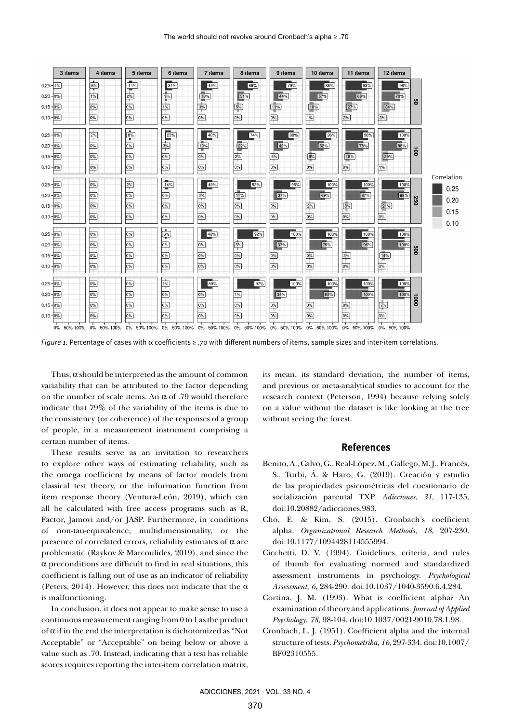

*Figure 1.* Percentage of cases with α coefficients ≥ .70 with different numbers of items, sample sizes and inter-item correlations.

Thus,  $\alpha$  should be interpreted as the amount of common variability that can be attributed to the factor depending on the number of scale items. An  $\alpha$  of .79 would therefore indicate that 79% of the variability of the items is due to the consistency (or coherence) of the responses of a group of people, in a measurement instrument comprising a certain number of items.

These results serve as an invitation to researchers to explore other ways of estimating reliability, such as the omega coefficient by means of factor models from classical test theory, or the information function from item response theory (Ventura-León, 2019), which can all be calculated with free access programs such as R, Factor, Jamovi and/or JASP. Furthermore, in conditions of non-tau-equivalence, multidimensionality, or the presence of correlated errors, reliability estimates of  $\alpha$  are problematic (Raykov & Marcoulides, 2019), and since the  $\alpha$  preconditions are difficult to find in real situations, this coefficient is falling out of use as an indicator of reliability (Peters, 2014). However, this does not indicate that the  $\alpha$ is malfunctioning.

In conclusion, it does not appear to make sense to use a continuous measurement ranging from 0 to 1 as the product of  $\alpha$  if in the end the interpretation is dichotomized as "Not Acceptable" or "Acceptable" on being below or above a value such as .70. Instead, indicating that a test has reliable scores requires reporting the inter-item correlation matrix,

its mean, its standard deviation, the number of items, and previous or meta-analytical studies to account for the research context (Peterson, 1994) because relying solely on a value without the dataset is like looking at the tree without seeing the forest.

## **References**

- Benito, A., Calvo, G., Real-López, M., Gallego, M. J., Francés, S., Turbi, Á. & Haro, G. (2019). Creación y estudio de las propiedades psicométricas del cuestionario de socialización parental TXP. *Adicciones*, *31*, 117-135. doi:10.20882/adicciones.983.
- Cho, E. & Kim, S. (2015). Cronbach's coefficient alpha. *Organizational Research Methods*, *18*, 207-230. doi:10.1177/1094428114555994.
- Cicchetti, D. V. (1994). Guidelines, criteria, and rules of thumb for evaluating normed and standardized assessment instruments in psychology. *Psychological Assessment*, *6*, 284-290. doi:10.1037/1040-3590.6.4.284.
- Cortina, J. M. (1993). What is coefficient alpha? An examination of theory and applications. *Journal of Applied Psychology*, *78*, 98-104. doi:10.1037/0021-9010.78.1.98.
- Cronbach, L. J. (1951). Coefficient alpha and the internal structure of tests. *Psychometrika*, *16*, 297-334. doi:10.1007/ BF02310555.